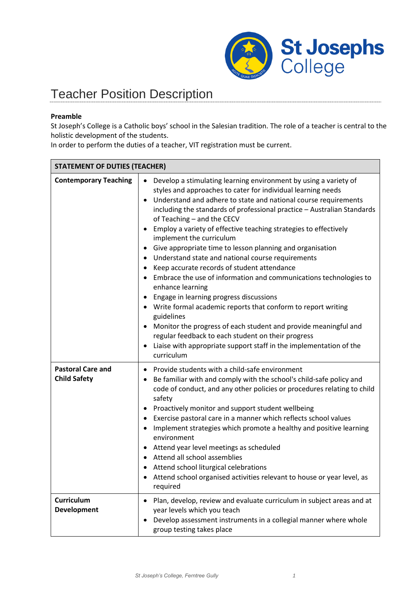

## Teacher Position Description

## **Preamble**

St Joseph's College is a Catholic boys' school in the Salesian tradition. The role of a teacher is central to the holistic development of the students.

In order to perform the duties of a teacher, VIT registration must be current.

| <b>STATEMENT OF DUTIES (TEACHER)</b>            |                                                                                                                                                                                                                                                                                                                                                                                                                                                                                                                                                                                                                                                                                                                                                                                                                                                                                                                                                                                                                                                                               |
|-------------------------------------------------|-------------------------------------------------------------------------------------------------------------------------------------------------------------------------------------------------------------------------------------------------------------------------------------------------------------------------------------------------------------------------------------------------------------------------------------------------------------------------------------------------------------------------------------------------------------------------------------------------------------------------------------------------------------------------------------------------------------------------------------------------------------------------------------------------------------------------------------------------------------------------------------------------------------------------------------------------------------------------------------------------------------------------------------------------------------------------------|
| <b>Contemporary Teaching</b>                    | Develop a stimulating learning environment by using a variety of<br>styles and approaches to cater for individual learning needs<br>Understand and adhere to state and national course requirements<br>$\bullet$<br>including the standards of professional practice - Australian Standards<br>of Teaching - and the CECV<br>Employ a variety of effective teaching strategies to effectively<br>implement the curriculum<br>Give appropriate time to lesson planning and organisation<br>Understand state and national course requirements<br>$\bullet$<br>Keep accurate records of student attendance<br>$\bullet$<br>Embrace the use of information and communications technologies to<br>enhance learning<br>Engage in learning progress discussions<br>$\bullet$<br>Write formal academic reports that conform to report writing<br>guidelines<br>Monitor the progress of each student and provide meaningful and<br>regular feedback to each student on their progress<br>Liaise with appropriate support staff in the implementation of the<br>$\bullet$<br>curriculum |
| <b>Pastoral Care and</b><br><b>Child Safety</b> | Provide students with a child-safe environment<br>$\bullet$<br>Be familiar with and comply with the school's child-safe policy and<br>code of conduct, and any other policies or procedures relating to child<br>safety<br>Proactively monitor and support student wellbeing<br>$\bullet$<br>Exercise pastoral care in a manner which reflects school values<br>Implement strategies which promote a healthy and positive learning<br>environment<br>Attend year level meetings as scheduled<br>$\bullet$<br>Attend all school assemblies<br>Attend school liturgical celebrations<br>Attend school organised activities relevant to house or year level, as<br>required                                                                                                                                                                                                                                                                                                                                                                                                      |
| <b>Curriculum</b><br>Development                | Plan, develop, review and evaluate curriculum in subject areas and at<br>$\bullet$<br>year levels which you teach<br>Develop assessment instruments in a collegial manner where whole<br>group testing takes place                                                                                                                                                                                                                                                                                                                                                                                                                                                                                                                                                                                                                                                                                                                                                                                                                                                            |